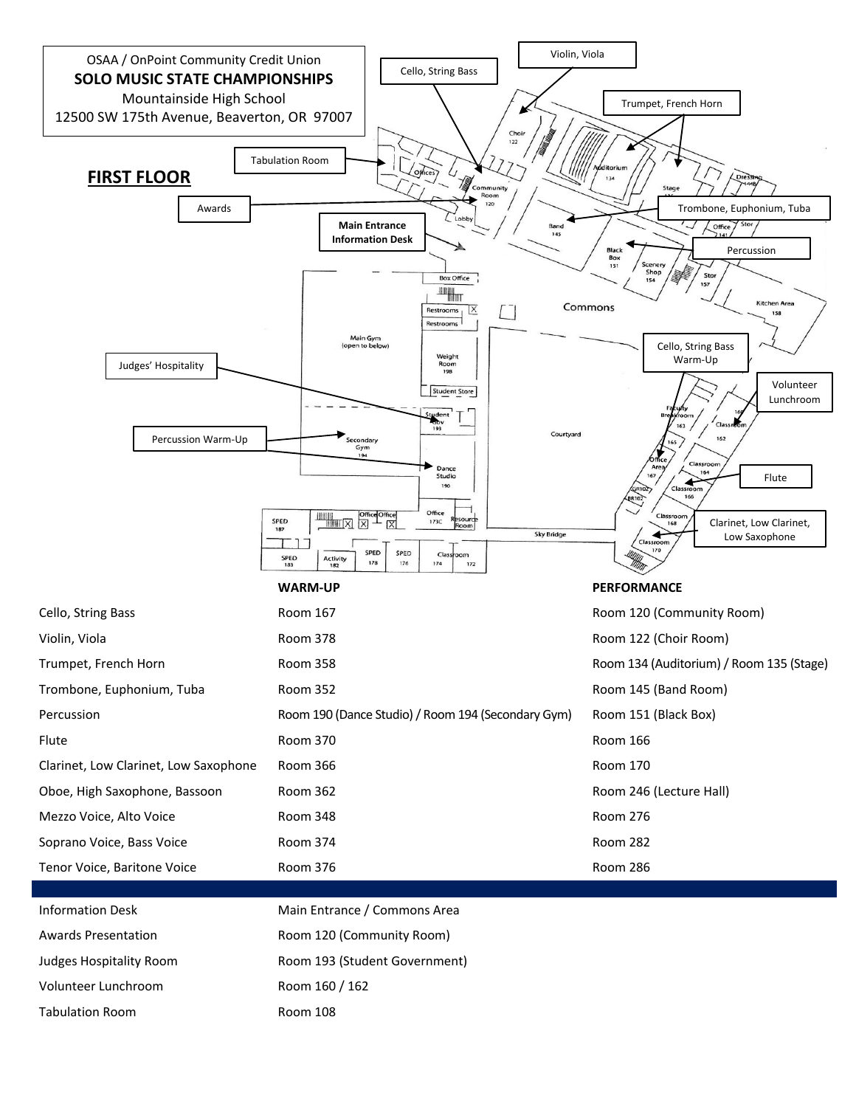